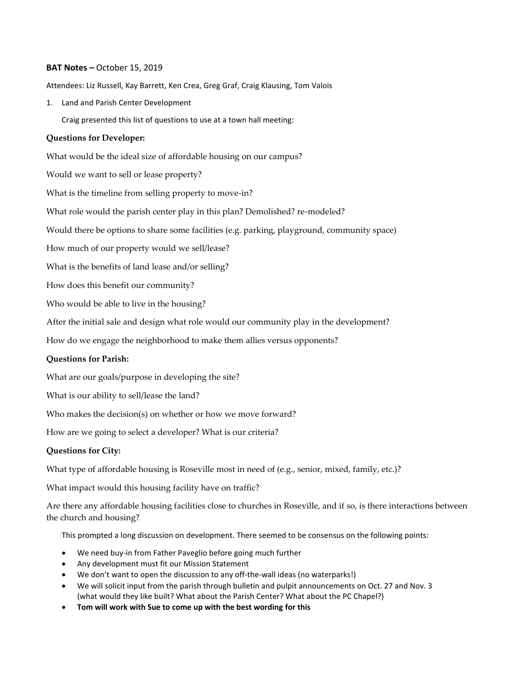## **BAT Notes –** October 15, 2019

Attendees: Liz Russell, Kay Barrett, Ken Crea, Greg Graf, Craig Klausing, Tom Valois

1. Land and Parish Center Development

Craig presented this list of questions to use at a town hall meeting:

### **Questions for Developer:**

What would be the ideal size of affordable housing on our campus?

Would we want to sell or lease property?

What is the timeline from selling property to move-in?

What role would the parish center play in this plan? Demolished? re-modeled?

Would there be options to share some facilities (e.g. parking, playground, community space)

How much of our property would we sell/lease?

What is the benefits of land lease and/or selling?

How does this benefit our community?

Who would be able to live in the housing?

After the initial sale and design what role would our community play in the development?

How do we engage the neighborhood to make them allies versus opponents?

#### **Questions for Parish:**

What are our goals/purpose in developing the site?

What is our ability to sell/lease the land?

Who makes the decision(s) on whether or how we move forward?

How are we going to select a developer? What is our criteria?

#### **Questions for City:**

What type of affordable housing is Roseville most in need of (e.g., senior, mixed, family, etc.)?

What impact would this housing facility have on traffic?

Are there any affordable housing facilities close to churches in Roseville, and if so, is there interactions between the church and housing?

This prompted a long discussion on development. There seemed to be consensus on the following points:

- We need buy-in from Father Paveglio before going much further
- Any development must fit our Mission Statement
- We don't want to open the discussion to any off-the-wall ideas (no waterparks!)
- We will solicit input from the parish through bulletin and pulpit announcements on Oct. 27 and Nov. 3 (what would they like built? What about the Parish Center? What about the PC Chapel?)
- **Tom will work with Sue to come up with the best wording for this**